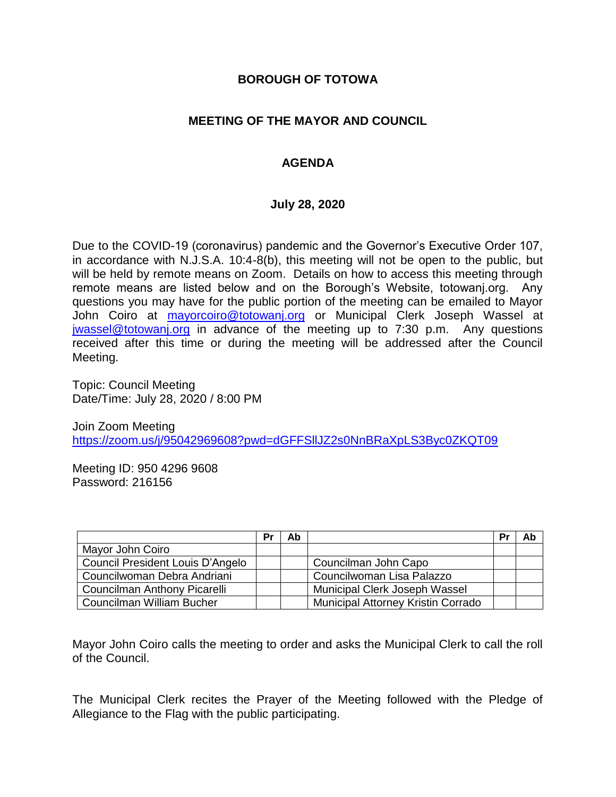### **BOROUGH OF TOTOWA**

## **MEETING OF THE MAYOR AND COUNCIL**

## **AGENDA**

### **July 28, 2020**

Due to the COVID-19 (coronavirus) pandemic and the Governor's Executive Order 107, in accordance with N.J.S.A. 10:4-8(b), this meeting will not be open to the public, but will be held by remote means on Zoom. Details on how to access this meeting through remote means are listed below and on the Borough's Website, totowanj.org. Any questions you may have for the public portion of the meeting can be emailed to Mayor John Coiro at [mayorcoiro@totowanj.org](mailto:mayorcoiro@totowanj.org) or Municipal Clerk Joseph Wassel at [jwassel@totowanj.org](mailto:jwassel@totowanj.org) in advance of the meeting up to 7:30 p.m. Any questions received after this time or during the meeting will be addressed after the Council Meeting.

Topic: Council Meeting Date/Time: July 28, 2020 / 8:00 PM

Join Zoom Meeting <https://zoom.us/j/95042969608?pwd=dGFFSllJZ2s0NnBRaXpLS3Byc0ZKQT09>

Meeting ID: 950 4296 9608 Password: 216156

|                                         | Pr | Ab |                                           | <b>Pr</b> | Ab |
|-----------------------------------------|----|----|-------------------------------------------|-----------|----|
| Mayor John Coiro                        |    |    |                                           |           |    |
| <b>Council President Louis D'Angelo</b> |    |    | Councilman John Capo                      |           |    |
| Councilwoman Debra Andriani             |    |    | Councilwoman Lisa Palazzo                 |           |    |
| <b>Councilman Anthony Picarelli</b>     |    |    | Municipal Clerk Joseph Wassel             |           |    |
| Councilman William Bucher               |    |    | <b>Municipal Attorney Kristin Corrado</b> |           |    |

Mayor John Coiro calls the meeting to order and asks the Municipal Clerk to call the roll of the Council.

The Municipal Clerk recites the Prayer of the Meeting followed with the Pledge of Allegiance to the Flag with the public participating.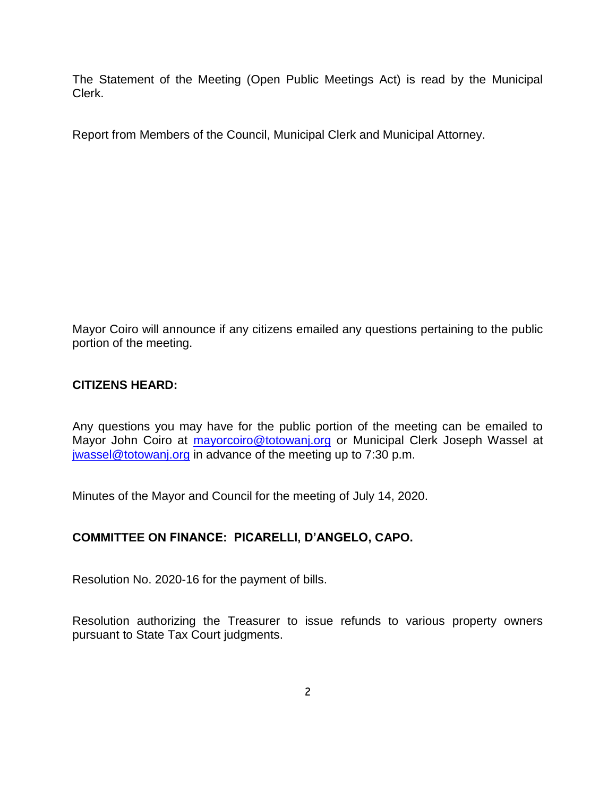The Statement of the Meeting (Open Public Meetings Act) is read by the Municipal Clerk.

Report from Members of the Council, Municipal Clerk and Municipal Attorney.

Mayor Coiro will announce if any citizens emailed any questions pertaining to the public portion of the meeting.

## **CITIZENS HEARD:**

Any questions you may have for the public portion of the meeting can be emailed to Mayor John Coiro at [mayorcoiro@totowanj.org](mailto:mayorcoiro@totowanj.org) or Municipal Clerk Joseph Wassel at [jwassel@totowanj.org](mailto:jwassel@totowanj.org) in advance of the meeting up to 7:30 p.m.

Minutes of the Mayor and Council for the meeting of July 14, 2020.

### **COMMITTEE ON FINANCE: PICARELLI, D'ANGELO, CAPO.**

Resolution No. 2020-16 for the payment of bills.

Resolution authorizing the Treasurer to issue refunds to various property owners pursuant to State Tax Court judgments.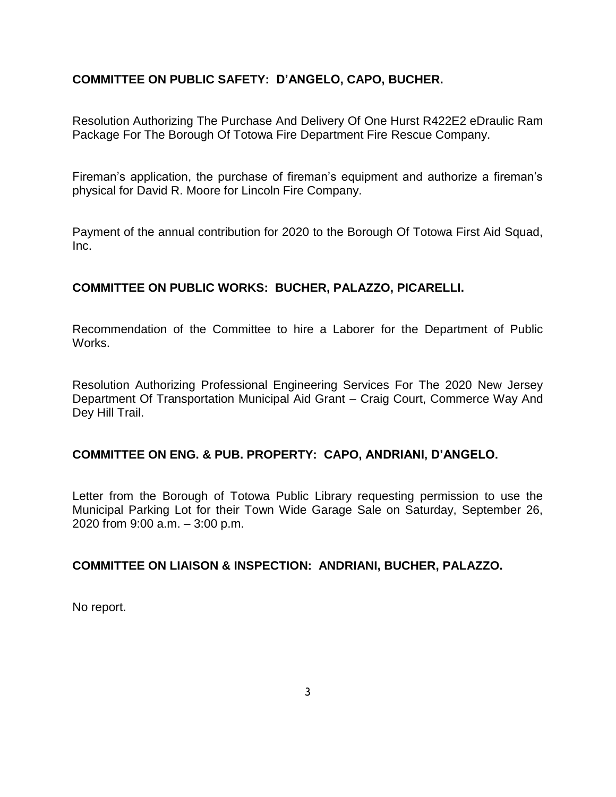# **COMMITTEE ON PUBLIC SAFETY: D'ANGELO, CAPO, BUCHER.**

Resolution Authorizing The Purchase And Delivery Of One Hurst R422E2 eDraulic Ram Package For The Borough Of Totowa Fire Department Fire Rescue Company.

Fireman's application, the purchase of fireman's equipment and authorize a fireman's physical for David R. Moore for Lincoln Fire Company.

Payment of the annual contribution for 2020 to the Borough Of Totowa First Aid Squad, Inc.

## **COMMITTEE ON PUBLIC WORKS: BUCHER, PALAZZO, PICARELLI.**

Recommendation of the Committee to hire a Laborer for the Department of Public Works.

Resolution Authorizing Professional Engineering Services For The 2020 New Jersey Department Of Transportation Municipal Aid Grant – Craig Court, Commerce Way And Dey Hill Trail.

### **COMMITTEE ON ENG. & PUB. PROPERTY: CAPO, ANDRIANI, D'ANGELO.**

Letter from the Borough of Totowa Public Library requesting permission to use the Municipal Parking Lot for their Town Wide Garage Sale on Saturday, September 26, 2020 from 9:00 a.m. – 3:00 p.m.

### **COMMITTEE ON LIAISON & INSPECTION: ANDRIANI, BUCHER, PALAZZO.**

No report.